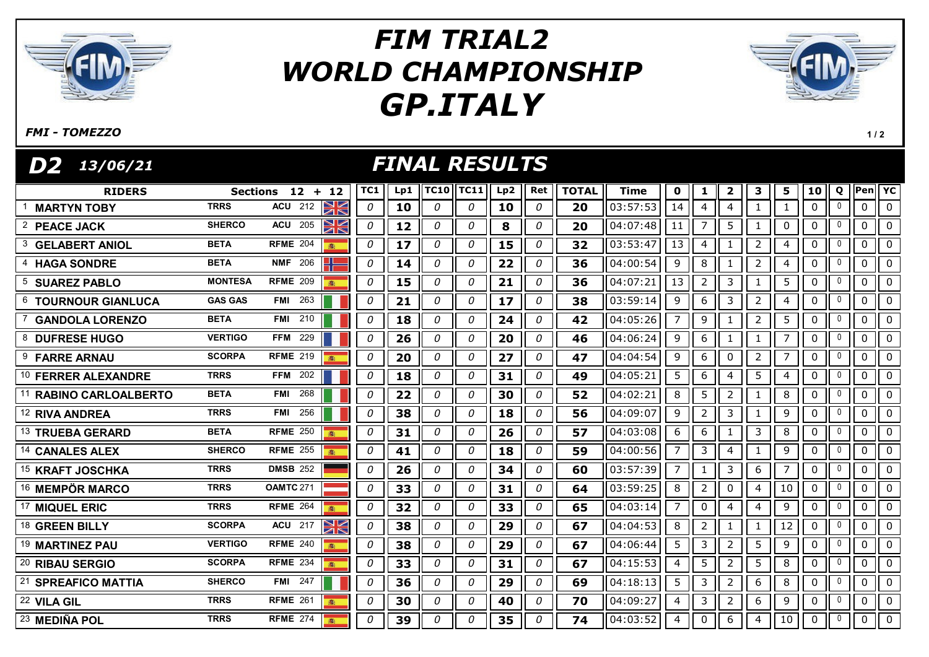

## GP.ITALY FIM TRIAL2 WORLD CHAMPIONSHIP



## FMI - TOMEZZO

 $1/2$ 

| <b>FINAL RESULTS</b><br>D2  <br>13/06/21 |                |                      |              |     |             |             |     |     |              |                          |                |                |                |                |                |                 |              |                |                |
|------------------------------------------|----------------|----------------------|--------------|-----|-------------|-------------|-----|-----|--------------|--------------------------|----------------|----------------|----------------|----------------|----------------|-----------------|--------------|----------------|----------------|
| <b>RIDERS</b>                            |                | Sections $12 + 12$   | TC1          | Lp1 | <b>TC10</b> | <b>TC11</b> | Lp2 | Ret | <b>TOTAL</b> | <b>Time</b>              | $\mathbf 0$    | 1              | $\overline{2}$ | 3              | 5              | 10 <sub>1</sub> | Q            | Pen YC         |                |
| <b>MARTYN TOBY</b>                       | <b>TRRS</b>    | NK<br><b>ACU</b> 212 | 0            | 10  | $\Omega$    | 0           | 10  | 0   | 20           | 03:57:53                 | 14             | $\overline{4}$ | $\overline{4}$ |                | $\mathbf{1}$   | $\mathbf{0}$    | $\mathbf 0$  | 0              | $\Omega$       |
| 2 PEACE JACK                             | <b>SHERCO</b>  | XK<br><b>ACU</b> 205 | 0            | 12  | 0           | 0           | 8   | 0   | 20           | 04:07:48                 | 11             | $\overline{7}$ | 5              |                | $\mathbf 0$    | $\pmb{0}$       | $\mathbf 0$  | 0              | $\mathbf 0$    |
| <b>GELABERT ANIOL</b>                    | <b>BETA</b>    | <b>RFME 204</b><br>森 | 0            | 17  | 0           | 0           | 15  | 0   | 32           | 03:53:47                 | 13             | $\overline{4}$ | 1              | $\overline{2}$ | $\overline{4}$ | 0               | 0            | 0              | $\mathbf 0$    |
| <b>HAGA SONDRE</b>                       | <b>BETA</b>    | <b>NMF</b> 206       | 0            | 14  | 0           | 0           | 22  | 0   | 36           | 04:00:54                 | 9              | 8              | 1              | $\overline{2}$ | 4              | $\pmb{0}$       | 0            | $\mathbf 0$    | $\mathbf 0$    |
| <b>SUAREZ PABLO</b><br>5                 | <b>MONTESA</b> | <b>RFME 209</b>      | 0            | 15  | 0           | 0           | 21  | 0   | 36           | 04:07:21                 | 13             | $\overline{2}$ | 3              | $\mathbf{1}$   | 5              | $\mathbf 0$     | 0            | $\mathbf 0$    | $\mathbf 0$    |
| 6<br><b>TOURNOUR GIANLUCA</b>            | <b>GAS GAS</b> | <b>FMI</b> 263       | 0            | 21  | 0           | $\theta$    | 17  | 0   | 38           | 03:59:14                 | 9              | 6              | 3              | $\overline{2}$ | $\overline{4}$ | $\pmb{0}$       | 0            | $\mathbf 0$    | $\mathbf 0$    |
| <b>GANDOLA LORENZO</b>                   | <b>BETA</b>    | <b>FMI</b> 210       | 0            | 18  | 0           | 0           | 24  | 0   | 42           | $\overline{04}$ : 05: 26 | $\overline{7}$ | 9              | 1              | $\overline{2}$ | 5              | $\pmb{0}$       | 0            | $\mathbf 0$    | $\mathbf 0$    |
| 8 DUFRESE HUGO                           | <b>VERTIGO</b> | <b>FFM 229</b>       | 0            | 26  | 0           | 0           | 20  | 0   | 46           | 04:06:24                 | 9              | 6              | $\mathbf{1}$   | $\mathbf{1}$   | $\overline{7}$ | $\mathbf 0$     | 0            | $\overline{0}$ | $\mathbf 0$    |
| 9<br><b>FARRE ARNAU</b>                  | <b>SCORPA</b>  | <b>RFME 219</b>      | 0            | 20  | 0           | 0           | 27  | 0   | 47           | 04:04:54                 | 9              | 6              | $\pmb{0}$      | $\overline{2}$ | $\overline{7}$ | $\pmb{0}$       | 0            | $\mathbf 0$    | $\overline{0}$ |
| 10 FERRER ALEXANDRE                      | <b>TRRS</b>    | <b>FFM 202</b>       | 0            | 18  | 0           | 0           | 31  | 0   | 49           | 04:05:21                 | 5              | 6              | $\overline{a}$ | 5              | 4              | $\pmb{0}$       | 0            | $\mathbf 0$    | $\mathbf 0$    |
| <b>RABINO CARLOALBERTO</b>               | <b>BETA</b>    | 268<br><b>FMI</b>    | 0            | 22  | 0           | 0           | 30  | 0   | 52           | 04:02:21                 | 8              | 5              | $\overline{2}$ | $\mathbf{1}$   | 8              | $\pmb{0}$       | $\mathbf 0$  | $\mathbf 0$    | $\mathbf 0$    |
| <sup>12</sup> RIVA ANDREA                | <b>TRRS</b>    | 256<br>FMI           | 0            | 38  | 0           | 0           | 18  | 0   | 56           | 04:09:07                 | 9              | $\overline{2}$ | 3              | $\mathbf{1}$   | 9              | $\pmb{0}$       | 0            | 0              | $\mathbf 0$    |
| <sup>13</sup> TRUEBA GERARD              | <b>BETA</b>    | <b>RFME 250</b>      | 0            | 31  | 0           | 0           | 26  | 0   | 57           | 04:03:08                 | 6              | 6              | $\mathbf{1}$   | 3              | $\,8\,$        | $\pmb{0}$       | 0            | $\mathbf 0$    | $\mathbf 0$    |
| 14 CANALES ALEX                          | <b>SHERCO</b>  | <b>RFME 255</b>      | 0            | 41  | 0           | 0           | 18  | 0   | 59           | 04:00:56                 | 7 <sup>7</sup> | 3              | $\overline{a}$ | $\mathbf{1}$   | 9              | $\pmb{0}$       | 0            | $\mathbf 0$    | $\overline{0}$ |
| <sup>15</sup> KRAFT JOSCHKA              | <b>TRRS</b>    | <b>DMSB 252</b>      | 0            | 26  | 0           | 0           | 34  | 0   | 60           | $\overline{03:57:39}$    | $\overline{7}$ | $\mathbf{1}$   | $\mathfrak{Z}$ | 6              | $\overline{7}$ | $\pmb{0}$       | 0            | $\mathbf 0$    | $\mathbf 0$    |
| <sup>16</sup> MEMPÖR MARCO               | <b>TRRS</b>    | <b>OAMTC 271</b>     | 0            | 33  | 0           | 0           | 31  | 0   | 64           | 03:59:25                 | 8              | $\overline{2}$ | $\pmb{0}$      | 4              | 10             | $\pmb{0}$       | 0            | 0              | $\mathbf 0$    |
| 17 MIQUEL ERIC                           | <b>TRRS</b>    | <b>RFME 264</b>      | 0            | 32  | 0           | 0           | 33  | 0   | 65           | 04:03:14                 | $7^{\circ}$    | $\mathbf 0$    | $\overline{4}$ | 4              | $\overline{9}$ | $\pmb{0}$       | $\mathbf 0$  | $\mathbf 0$    | $\overline{0}$ |
| <b>GREEN BILLY</b><br>18                 | <b>SCORPA</b>  | NK<br>$ACU$ 217      | 0            | 38  | 0           | 0           | 29  | 0   | 67           | 04:04:53                 | 8              | $\overline{2}$ | $\mathbf{1}$   | $\mathbf{1}$   | 12             | $\pmb{0}$       | $\mathbf 0$  | $\mathbf 0$    | $\mathbf 0$    |
| <sup>19</sup> MARTINEZ PAU               | <b>VERTIGO</b> | <b>RFME 240</b>      | 0            | 38  | 0           | 0           | 29  | 0   | 67           | 04:06:44                 | 5              | 3              | $\overline{2}$ | 5              | 9              | $\pmb{0}$       | $\mathbf 0$  | $\pmb{0}$      | $\overline{0}$ |
| 20<br><b>RIBAU SERGIO</b>                | <b>SCORPA</b>  | <b>RFME 234</b>      | $\mathcal O$ | 33  | 0           | 0           | 31  | 0   | 67           | 04:15:53                 | $\overline{4}$ | 5              | $\overline{2}$ | 5              | 8              | $\pmb{0}$       | $\mathbf{0}$ | $\mathbf 0$    | $\mathbf 0$    |
| 21<br><b>SPREAFICO MATTIA</b>            | <b>SHERCO</b>  | <b>FMI</b> 247       | 0            | 36  | $\theta$    | 0           | 29  | 0   | 69           | 04:18:13                 | 5              | 3              | $\overline{2}$ | 6              | $\,8\,$        | $\pmb{0}$       | $\mathbf 0$  | $\mathbf 0$    | $\mathbf 0$    |
| 22 VILA GIL                              | <b>TRRS</b>    | <b>RFME 261</b>      | 0            | 30  | 0           | 0           | 40  | 0   | 70           | 04:09:27                 | $\overline{4}$ | 3              | $\overline{2}$ | 6              | 9              | $\mathbf 0$     | $\mathbf 0$  | $\pmb{0}$      | $\mathbf 0$    |
| 23 MEDIÑA POL                            | <b>TRRS</b>    | <b>RFME 274</b>      | 0            | 39  | $\theta$    | 0           | 35  | 0   | 74           | 04:03:52                 | $\overline{4}$ | $\mathbf 0$    | 6              | $\overline{4}$ | 10             | $\mathbf{0}$    | $\mathbf{0}$ |                | $0$   $0$      |